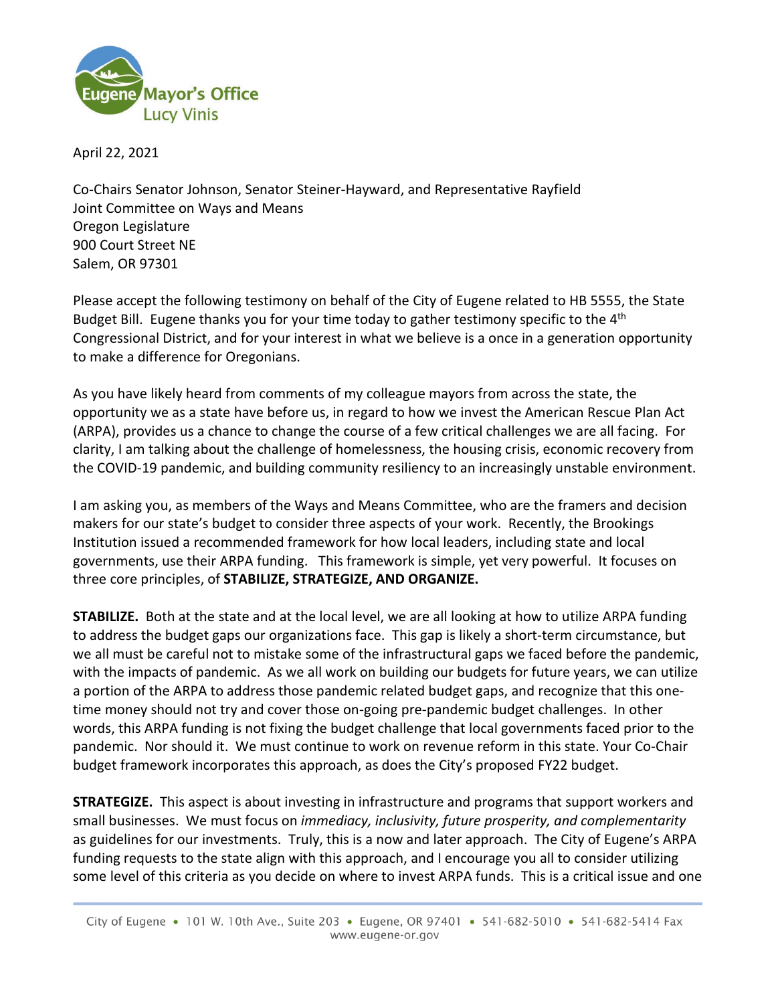

April 22, 2021

Co-Chairs Senator Johnson, Senator Steiner-Hayward, and Representative Rayfield Joint Committee on Ways and Means Oregon Legislature 900 Court Street NE Salem, OR 97301

Please accept the following testimony on behalf of the City of Eugene related to HB 5555, the State Budget Bill. Eugene thanks you for your time today to gather testimony specific to the 4<sup>th</sup> Congressional District, and for your interest in what we believe is a once in a generation opportunity to make a difference for Oregonians.

As you have likely heard from comments of my colleague mayors from across the state, the opportunity we as a state have before us, in regard to how we invest the American Rescue Plan Act (ARPA), provides us a chance to change the course of a few critical challenges we are all facing. For clarity, I am talking about the challenge of homelessness, the housing crisis, economic recovery from the COVID-19 pandemic, and building community resiliency to an increasingly unstable environment.

I am asking you, as members of the Ways and Means Committee, who are the framers and decision makers for our state's budget to consider three aspects of your work. Recently, the Brookings Institution issued a recommended framework for how local leaders, including state and local governments, use their ARPA funding. This framework is simple, yet very powerful. It focuses on three core principles, of **STABILIZE, STRATEGIZE, AND ORGANIZE.** 

**STABILIZE.** Both at the state and at the local level, we are all looking at how to utilize ARPA funding to address the budget gaps our organizations face. This gap is likely a short-term circumstance, but we all must be careful not to mistake some of the infrastructural gaps we faced before the pandemic, with the impacts of pandemic. As we all work on building our budgets for future years, we can utilize a portion of the ARPA to address those pandemic related budget gaps, and recognize that this onetime money should not try and cover those on-going pre-pandemic budget challenges. In other words, this ARPA funding is not fixing the budget challenge that local governments faced prior to the pandemic. Nor should it. We must continue to work on revenue reform in this state. Your Co-Chair budget framework incorporates this approach, as does the City's proposed FY22 budget.

**STRATEGIZE.** This aspect is about investing in infrastructure and programs that support workers and small businesses. We must focus on *immediacy, inclusivity, future prosperity, and complementarity*  as guidelines for our investments. Truly, this is a now and later approach. The City of Eugene's ARPA funding requests to the state align with this approach, and I encourage you all to consider utilizing some level of this criteria as you decide on where to invest ARPA funds. This is a critical issue and one